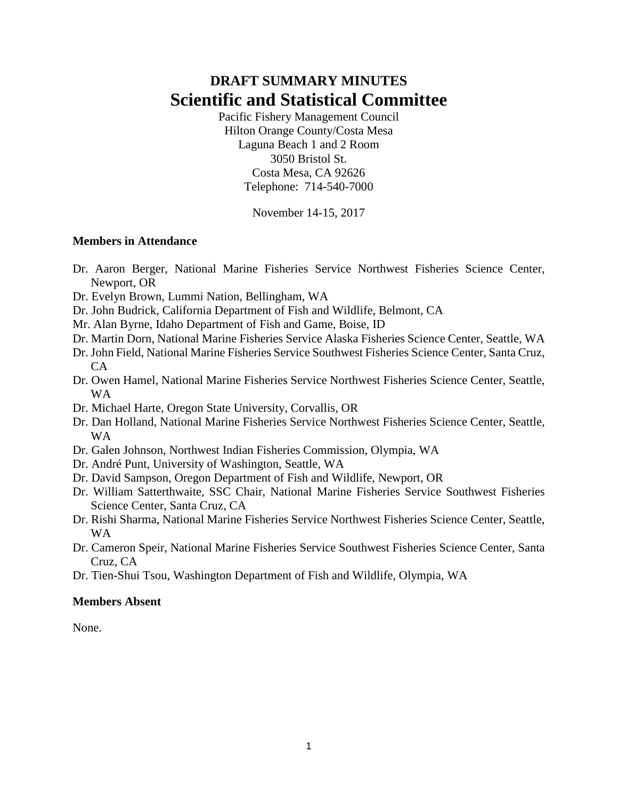# **DRAFT SUMMARY MINUTES Scientific and Statistical Committee**

Pacific Fishery Management Council Hilton Orange County/Costa Mesa Laguna Beach 1 and 2 Room 3050 Bristol St. Costa Mesa, CA 92626 Telephone: 714-540-7000

November 14-15, 2017

## **Members in Attendance**

- Dr. Aaron Berger, National Marine Fisheries Service Northwest Fisheries Science Center, Newport, OR
- Dr. Evelyn Brown, Lummi Nation, Bellingham, WA
- Dr. John Budrick, California Department of Fish and Wildlife, Belmont, CA
- Mr. Alan Byrne, Idaho Department of Fish and Game, Boise, ID
- Dr. Martin Dorn, National Marine Fisheries Service Alaska Fisheries Science Center, Seattle, WA
- Dr. John Field, National Marine Fisheries Service Southwest Fisheries Science Center, Santa Cruz,  $CA$
- Dr. Owen Hamel, National Marine Fisheries Service Northwest Fisheries Science Center, Seattle, WA
- Dr. Michael Harte, Oregon State University, Corvallis, OR
- Dr. Dan Holland, National Marine Fisheries Service Northwest Fisheries Science Center, Seattle, WA
- Dr. Galen Johnson, Northwest Indian Fisheries Commission, Olympia, WA
- Dr. André Punt, University of Washington, Seattle, WA
- Dr. David Sampson, Oregon Department of Fish and Wildlife, Newport, OR
- Dr. William Satterthwaite, SSC Chair, National Marine Fisheries Service Southwest Fisheries Science Center, Santa Cruz, CA
- Dr. Rishi Sharma, National Marine Fisheries Service Northwest Fisheries Science Center, Seattle, WA
- Dr. Cameron Speir, National Marine Fisheries Service Southwest Fisheries Science Center, Santa Cruz, CA
- Dr. Tien-Shui Tsou, Washington Department of Fish and Wildlife, Olympia, WA

# **Members Absent**

None.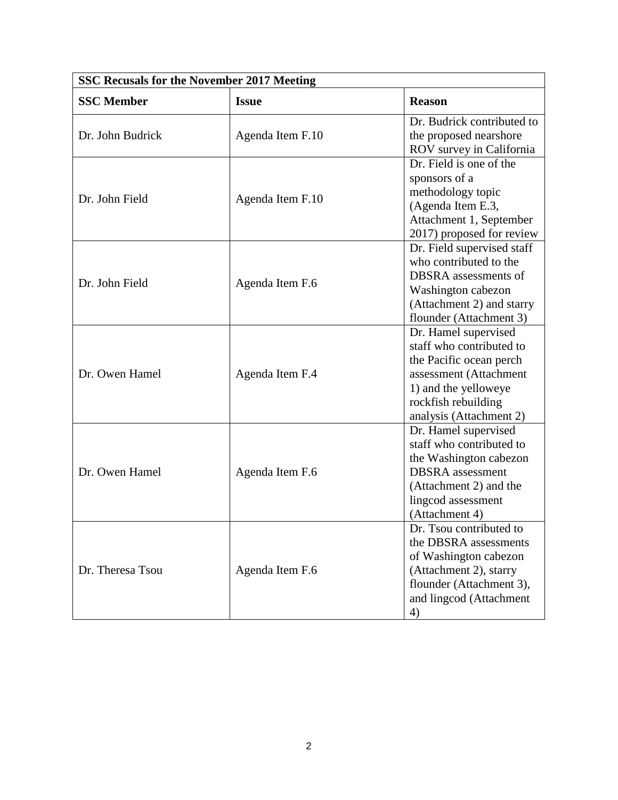| <b>SSC Recusals for the November 2017 Meeting</b> |                  |                                                                                                                                                                                 |  |  |  |
|---------------------------------------------------|------------------|---------------------------------------------------------------------------------------------------------------------------------------------------------------------------------|--|--|--|
| <b>SSC</b> Member                                 | <b>Issue</b>     | <b>Reason</b>                                                                                                                                                                   |  |  |  |
| Dr. John Budrick                                  | Agenda Item F.10 | Dr. Budrick contributed to<br>the proposed nearshore<br>ROV survey in California                                                                                                |  |  |  |
| Dr. John Field                                    | Agenda Item F.10 | Dr. Field is one of the<br>sponsors of a<br>methodology topic<br>(Agenda Item E.3,<br>Attachment 1, September<br>2017) proposed for review                                      |  |  |  |
| Dr. John Field                                    | Agenda Item F.6  | Dr. Field supervised staff<br>who contributed to the<br>DBSRA assessments of<br>Washington cabezon<br>(Attachment 2) and starry<br>flounder (Attachment 3)                      |  |  |  |
| Dr. Owen Hamel                                    | Agenda Item F.4  | Dr. Hamel supervised<br>staff who contributed to<br>the Pacific ocean perch<br>assessment (Attachment<br>1) and the yelloweye<br>rockfish rebuilding<br>analysis (Attachment 2) |  |  |  |
| Dr. Owen Hamel                                    | Agenda Item F.6  | Dr. Hamel supervised<br>staff who contributed to<br>the Washington cabezon<br><b>DBSRA</b> assessment<br>(Attachment 2) and the<br>lingcod assessment<br>(Attachment 4)         |  |  |  |
| Dr. Theresa Tsou                                  | Agenda Item F.6  | Dr. Tsou contributed to<br>the DBSRA assessments<br>of Washington cabezon<br>(Attachment 2), starry<br>flounder (Attachment 3),<br>and lingcod (Attachment<br>4)                |  |  |  |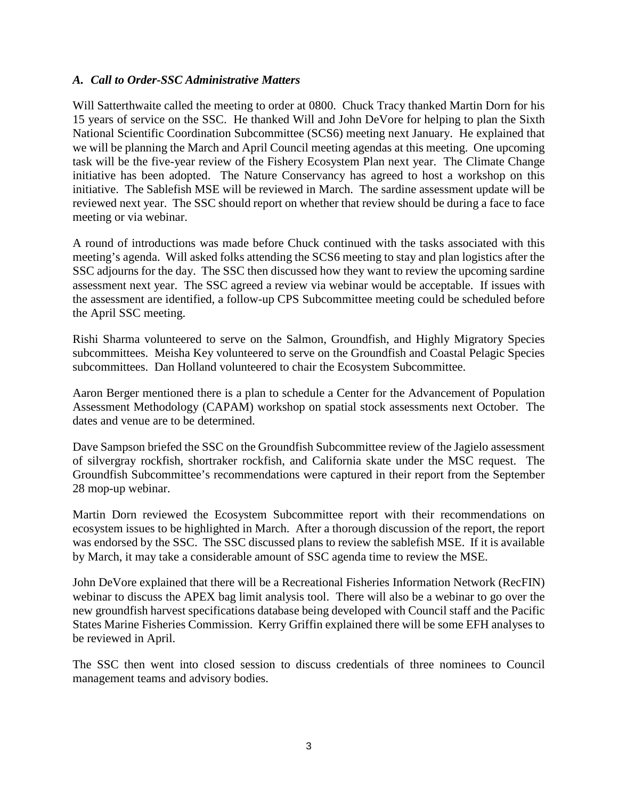## *A. Call to Order-SSC Administrative Matters*

Will Satterthwaite called the meeting to order at 0800. Chuck Tracy thanked Martin Dorn for his 15 years of service on the SSC. He thanked Will and John DeVore for helping to plan the Sixth National Scientific Coordination Subcommittee (SCS6) meeting next January. He explained that we will be planning the March and April Council meeting agendas at this meeting. One upcoming task will be the five-year review of the Fishery Ecosystem Plan next year. The Climate Change initiative has been adopted. The Nature Conservancy has agreed to host a workshop on this initiative. The Sablefish MSE will be reviewed in March. The sardine assessment update will be reviewed next year. The SSC should report on whether that review should be during a face to face meeting or via webinar.

A round of introductions was made before Chuck continued with the tasks associated with this meeting's agenda. Will asked folks attending the SCS6 meeting to stay and plan logistics after the SSC adjourns for the day. The SSC then discussed how they want to review the upcoming sardine assessment next year. The SSC agreed a review via webinar would be acceptable. If issues with the assessment are identified, a follow-up CPS Subcommittee meeting could be scheduled before the April SSC meeting.

Rishi Sharma volunteered to serve on the Salmon, Groundfish, and Highly Migratory Species subcommittees. Meisha Key volunteered to serve on the Groundfish and Coastal Pelagic Species subcommittees. Dan Holland volunteered to chair the Ecosystem Subcommittee.

Aaron Berger mentioned there is a plan to schedule a Center for the Advancement of Population Assessment Methodology (CAPAM) workshop on spatial stock assessments next October. The dates and venue are to be determined.

Dave Sampson briefed the SSC on the Groundfish Subcommittee review of the Jagielo assessment of silvergray rockfish, shortraker rockfish, and California skate under the MSC request. The Groundfish Subcommittee's recommendations were captured in their report from the September 28 mop-up webinar.

Martin Dorn reviewed the Ecosystem Subcommittee report with their recommendations on ecosystem issues to be highlighted in March. After a thorough discussion of the report, the report was endorsed by the SSC. The SSC discussed plans to review the sablefish MSE. If it is available by March, it may take a considerable amount of SSC agenda time to review the MSE.

John DeVore explained that there will be a Recreational Fisheries Information Network (RecFIN) webinar to discuss the APEX bag limit analysis tool. There will also be a webinar to go over the new groundfish harvest specifications database being developed with Council staff and the Pacific States Marine Fisheries Commission. Kerry Griffin explained there will be some EFH analyses to be reviewed in April.

The SSC then went into closed session to discuss credentials of three nominees to Council management teams and advisory bodies.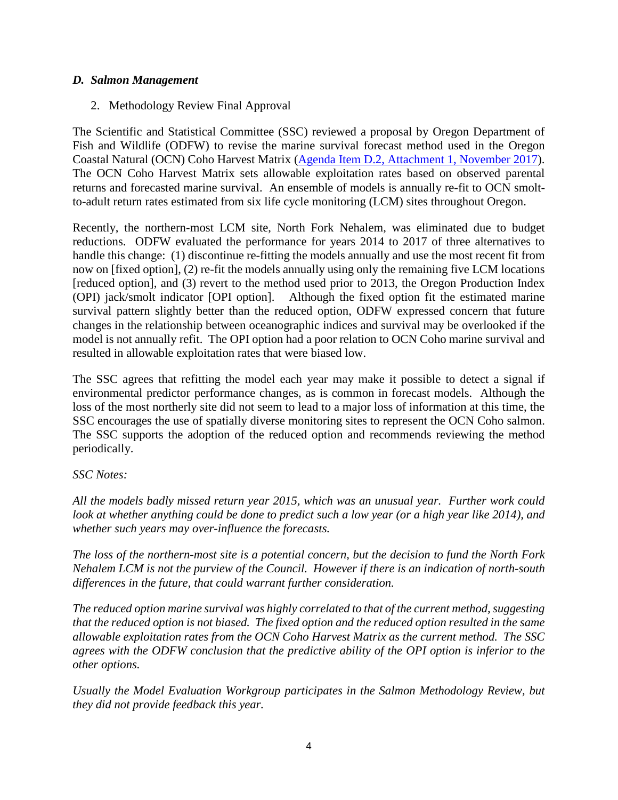## *D. Salmon Management*

2. Methodology Review Final Approval

The Scientific and Statistical Committee (SSC) reviewed a proposal by Oregon Department of Fish and Wildlife (ODFW) to revise the marine survival forecast method used in the Oregon Coastal Natural (OCN) Coho Harvest Matrix [\(Agenda Item D.2, Attachment 1, November 2017\)](http://www.pcouncil.org/wp-content/uploads/2017/10/D2_Att1_OCN_NOV2017BB.pdf). The OCN Coho Harvest Matrix sets allowable exploitation rates based on observed parental returns and forecasted marine survival. An ensemble of models is annually re-fit to OCN smoltto-adult return rates estimated from six life cycle monitoring (LCM) sites throughout Oregon.

Recently, the northern-most LCM site, North Fork Nehalem, was eliminated due to budget reductions. ODFW evaluated the performance for years 2014 to 2017 of three alternatives to handle this change: (1) discontinue re-fitting the models annually and use the most recent fit from now on [fixed option], (2) re-fit the models annually using only the remaining five LCM locations [reduced option], and (3) revert to the method used prior to 2013, the Oregon Production Index (OPI) jack/smolt indicator [OPI option]. Although the fixed option fit the estimated marine survival pattern slightly better than the reduced option, ODFW expressed concern that future changes in the relationship between oceanographic indices and survival may be overlooked if the model is not annually refit. The OPI option had a poor relation to OCN Coho marine survival and resulted in allowable exploitation rates that were biased low.

The SSC agrees that refitting the model each year may make it possible to detect a signal if environmental predictor performance changes, as is common in forecast models. Although the loss of the most northerly site did not seem to lead to a major loss of information at this time, the SSC encourages the use of spatially diverse monitoring sites to represent the OCN Coho salmon. The SSC supports the adoption of the reduced option and recommends reviewing the method periodically.

#### *SSC Notes:*

*All the models badly missed return year 2015, which was an unusual year. Further work could look at whether anything could be done to predict such a low year (or a high year like 2014), and whether such years may over-influence the forecasts.* 

*The loss of the northern-most site is a potential concern, but the decision to fund the North Fork Nehalem LCM is not the purview of the Council. However if there is an indication of north-south differences in the future, that could warrant further consideration.*

*The reduced option marine survival was highly correlated to that of the current method, suggesting that the reduced option is not biased. The fixed option and the reduced option resulted in the same allowable exploitation rates from the OCN Coho Harvest Matrix as the current method. The SSC agrees with the ODFW conclusion that the predictive ability of the OPI option is inferior to the other options.* 

*Usually the Model Evaluation Workgroup participates in the Salmon Methodology Review, but they did not provide feedback this year.*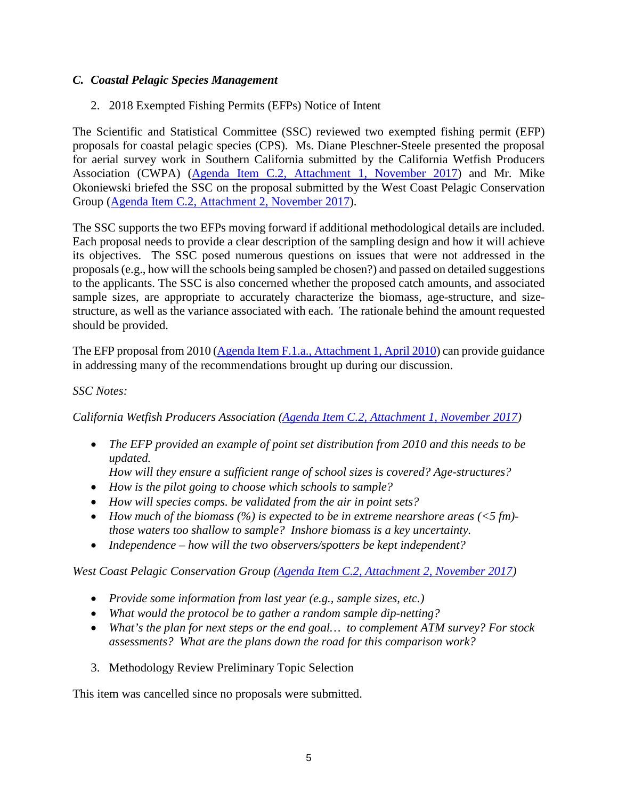# *C. Coastal Pelagic Species Management*

2. 2018 Exempted Fishing Permits (EFPs) Notice of Intent

The Scientific and Statistical Committee (SSC) reviewed two exempted fishing permit (EFP) proposals for coastal pelagic species (CPS). Ms. Diane Pleschner-Steele presented the proposal for aerial survey work in Southern California submitted by the California Wetfish Producers Association (CWPA) [\(Agenda Item C.2, Attachment 1, November 2017\)](http://www.pcouncil.org/wp-content/uploads/2017/10/C2_Att_1_CWPA_Proposal_Nov2017BB.pdf) and Mr. Mike Okoniewski briefed the SSC on the proposal submitted by the West Coast Pelagic Conservation Group [\(Agenda Item C.2, Attachment 2, November 2017\)](http://www.pcouncil.org/wp-content/uploads/2017/10/C2_Att_2_WCP_EFP_Proposal_FullDoc_E-Only_Nov2017BB.pdf).

The SSC supports the two EFPs moving forward if additional methodological details are included. Each proposal needs to provide a clear description of the sampling design and how it will achieve its objectives. The SSC posed numerous questions on issues that were not addressed in the proposals (e.g., how will the schools being sampled be chosen?) and passed on detailed suggestions to the applicants. The SSC is also concerned whether the proposed catch amounts, and associated sample sizes, are appropriate to accurately characterize the biomass, age-structure, and sizestructure, as well as the variance associated with each. The rationale behind the amount requested should be provided.

The EFP proposal from 2010 [\(Agenda Item F.1.a., Attachment 1, April 2010\)](https://www.pcouncil.org/wp-content/uploads/F1a_ATT1_APP_EFP_APRIL_2010_BB.pdf) can provide guidance in addressing many of the recommendations brought up during our discussion.

## *SSC Notes:*

*California Wetfish Producers Association [\(Agenda Item C.2, Attachment 1, November 2017\)](http://www.pcouncil.org/wp-content/uploads/2017/10/C2_Att_1_CWPA_Proposal_Nov2017BB.pdf)*

• *The EFP provided an example of point set distribution from 2010 and this needs to be updated.*

*How will they ensure a sufficient range of school sizes is covered? Age-structures?*

- *How is the pilot going to choose which schools to sample?*
- *How will species comps. be validated from the air in point sets?*
- *How much of the biomass (%) is expected to be in extreme nearshore areas (<5 fm) those waters too shallow to sample? Inshore biomass is a key uncertainty.*
- *Independence – how will the two observers/spotters be kept independent?*

*West Coast Pelagic Conservation Group [\(Agenda Item C.2, Attachment 2, November 2017\)](http://www.pcouncil.org/wp-content/uploads/2017/10/C2_Att_2_WCP_EFP_Proposal_FullDoc_E-Only_Nov2017BB.pdf)*

- *Provide some information from last year (e.g., sample sizes, etc.)*
- *What would the protocol be to gather a random sample dip-netting?*
- *What's the plan for next steps or the end goal… to complement ATM survey? For stock assessments? What are the plans down the road for this comparison work?*
- 3. Methodology Review Preliminary Topic Selection

This item was cancelled since no proposals were submitted.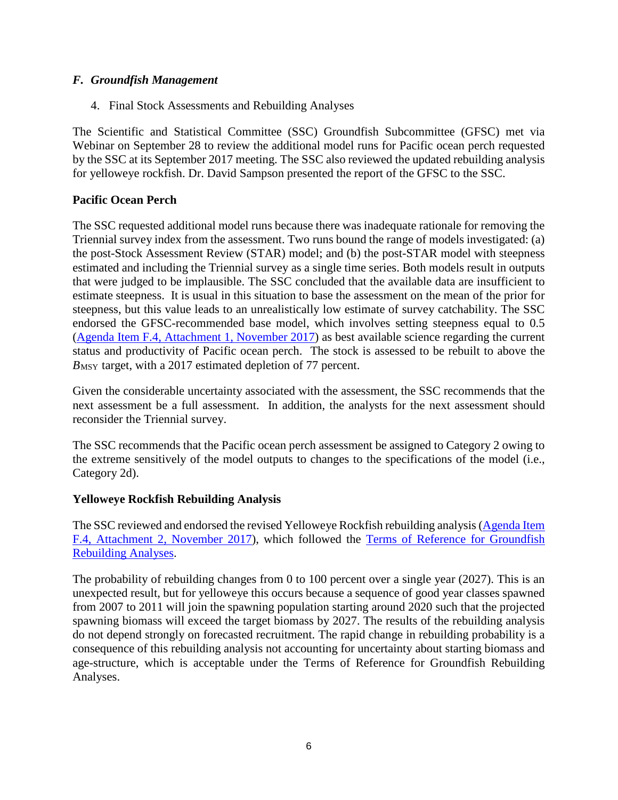## *F. Groundfish Management*

4. Final Stock Assessments and Rebuilding Analyses

The Scientific and Statistical Committee (SSC) Groundfish Subcommittee (GFSC) met via Webinar on September 28 to review the additional model runs for Pacific ocean perch requested by the SSC at its September 2017 meeting. The SSC also reviewed the updated rebuilding analysis for yelloweye rockfish. Dr. David Sampson presented the report of the GFSC to the SSC.

## **Pacific Ocean Perch**

The SSC requested additional model runs because there was inadequate rationale for removing the Triennial survey index from the assessment. Two runs bound the range of models investigated: (a) the post-Stock Assessment Review (STAR) model; and (b) the post-STAR model with steepness estimated and including the Triennial survey as a single time series. Both models result in outputs that were judged to be implausible. The SSC concluded that the available data are insufficient to estimate steepness. It is usual in this situation to base the assessment on the mean of the prior for steepness, but this value leads to an unrealistically low estimate of survey catchability. The SSC endorsed the GFSC-recommended base model, which involves setting steepness equal to 0.5 [\(Agenda Item F.4, Attachment 1, November 2017\)](http://www.pcouncil.org/wp-content/uploads/2017/10/F4_Att1_Full_E-only_PacificOceanPerch2017_Assessment_NOV2017BB.pdf) as best available science regarding the current status and productivity of Pacific ocean perch. The stock is assessed to be rebuilt to above the *B*<sub>MSY</sub> target, with a 2017 estimated depletion of 77 percent.

Given the considerable uncertainty associated with the assessment, the SSC recommends that the next assessment be a full assessment. In addition, the analysts for the next assessment should reconsider the Triennial survey.

The SSC recommends that the Pacific ocean perch assessment be assigned to Category 2 owing to the extreme sensitively of the model outputs to changes to the specifications of the model (i.e., Category 2d).

#### **Yelloweye Rockfish Rebuilding Analysis**

The SSC reviewed and endorsed the revised Yelloweye Rockfish rebuilding analysis [\(Agenda Item](http://www.pcouncil.org/wp-content/uploads/2017/10/F4_Att2_2017_yelloweye_rebuilding_final_NOV2017BB.pdf)  [F.4, Attachment 2, November 2017\)](http://www.pcouncil.org/wp-content/uploads/2017/10/F4_Att2_2017_yelloweye_rebuilding_final_NOV2017BB.pdf), which followed the [Terms of Reference for Groundfish](http://www.pcouncil.org/wp-content/uploads/2017/01/GF_Rebuild_ToR_2017-18.pdf)  [Rebuilding Analyses.](http://www.pcouncil.org/wp-content/uploads/2017/01/GF_Rebuild_ToR_2017-18.pdf)

The probability of rebuilding changes from 0 to 100 percent over a single year (2027). This is an unexpected result, but for yelloweye this occurs because a sequence of good year classes spawned from 2007 to 2011 will join the spawning population starting around 2020 such that the projected spawning biomass will exceed the target biomass by 2027. The results of the rebuilding analysis do not depend strongly on forecasted recruitment. The rapid change in rebuilding probability is a consequence of this rebuilding analysis not accounting for uncertainty about starting biomass and age-structure, which is acceptable under the Terms of Reference for Groundfish Rebuilding Analyses.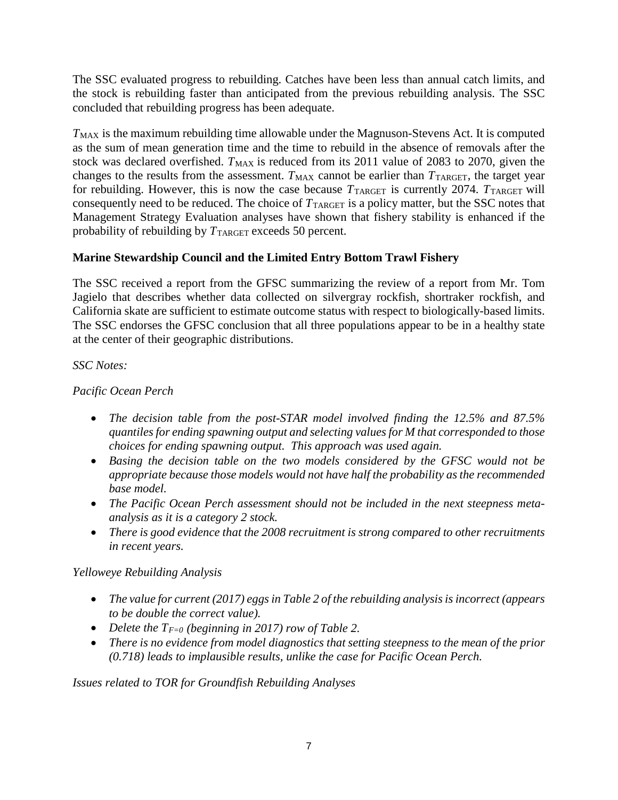The SSC evaluated progress to rebuilding. Catches have been less than annual catch limits, and the stock is rebuilding faster than anticipated from the previous rebuilding analysis. The SSC concluded that rebuilding progress has been adequate.

*T*<sub>MAX</sub> is the maximum rebuilding time allowable under the Magnuson-Stevens Act. It is computed as the sum of mean generation time and the time to rebuild in the absence of removals after the stock was declared overfished. *T*<sub>MAX</sub> is reduced from its 2011 value of 2083 to 2070, given the changes to the results from the assessment.  $T_{MAX}$  cannot be earlier than  $T_{TARGE}$ , the target year for rebuilding. However, this is now the case because  $T_{\text{TARGE}}$  is currently 2074.  $T_{\text{TARGE}}$  will consequently need to be reduced. The choice of  $T_{\text{TARGE}}$  is a policy matter, but the SSC notes that Management Strategy Evaluation analyses have shown that fishery stability is enhanced if the probability of rebuilding by  $T_{\text{TARGE}}$  exceeds 50 percent.

# **Marine Stewardship Council and the Limited Entry Bottom Trawl Fishery**

The SSC received a report from the GFSC summarizing the review of a report from Mr. Tom Jagielo that describes whether data collected on silvergray rockfish, shortraker rockfish, and California skate are sufficient to estimate outcome status with respect to biologically-based limits. The SSC endorses the GFSC conclusion that all three populations appear to be in a healthy state at the center of their geographic distributions.

# *SSC Notes:*

# *Pacific Ocean Perch*

- *The decision table from the post-STAR model involved finding the 12.5% and 87.5% quantiles for ending spawning output and selecting values for M that corresponded to those choices for ending spawning output. This approach was used again.*
- *Basing the decision table on the two models considered by the GFSC would not be appropriate because those models would not have half the probability as the recommended base model.*
- *The Pacific Ocean Perch assessment should not be included in the next steepness metaanalysis as it is a category 2 stock.*
- *There is good evidence that the 2008 recruitment is strong compared to other recruitments in recent years.*

# *Yelloweye Rebuilding Analysis*

- *The value for current (2017) eggs in Table 2 of the rebuilding analysis is incorrect (appears to be double the correct value).*
- *Delete the*  $T_{F=0}$  *(beginning in 2017) row of Table 2.*
- *There is no evidence from model diagnostics that setting steepness to the mean of the prior (0.718) leads to implausible results, unlike the case for Pacific Ocean Perch.*

*Issues related to TOR for Groundfish Rebuilding Analyses*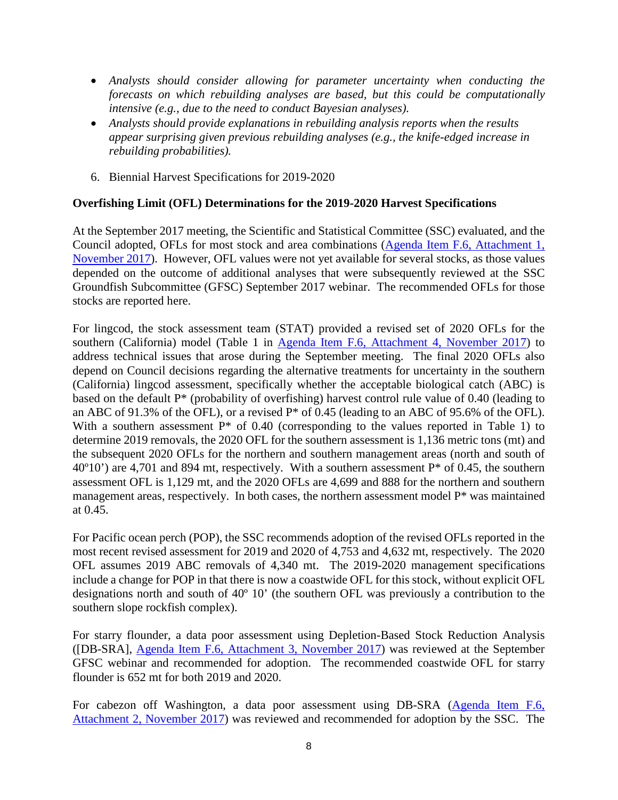- *Analysts should consider allowing for parameter uncertainty when conducting the forecasts on which rebuilding analyses are based, but this could be computationally intensive (e.g., due to the need to conduct Bayesian analyses).*
- *Analysts should provide explanations in rebuilding analysis reports when the results appear surprising given previous rebuilding analyses (e.g., the knife-edged increase in rebuilding probabilities).*
- 6. Biennial Harvest Specifications for 2019-2020

## **Overfishing Limit (OFL) Determinations for the 2019-2020 Harvest Specifications**

At the September 2017 meeting, the Scientific and Statistical Committee (SSC) evaluated, and the Council adopted, OFLs for most stock and area combinations [\(Agenda Item F.6, Attachment 1,](http://www.pcouncil.org/wp-content/uploads/2017/10/F6_Att1_2019-20HarvestSpex_NOV2017BB.pdf)  [November 2017\)](http://www.pcouncil.org/wp-content/uploads/2017/10/F6_Att1_2019-20HarvestSpex_NOV2017BB.pdf). However, OFL values were not yet available for several stocks, as those values depended on the outcome of additional analyses that were subsequently reviewed at the SSC Groundfish Subcommittee (GFSC) September 2017 webinar. The recommended OFLs for those stocks are reported here.

For lingcod, the stock assessment team (STAT) provided a revised set of 2020 OFLs for the southern (California) model (Table 1 in [Agenda Item F.6, Attachment 4, November 2017\)](http://www.pcouncil.org/wp-content/uploads/2017/10/F6_Att4_ExecSummary_2017Lingcod_Assessment_NOV2017BB.pdf) to address technical issues that arose during the September meeting. The final 2020 OFLs also depend on Council decisions regarding the alternative treatments for uncertainty in the southern (California) lingcod assessment, specifically whether the acceptable biological catch (ABC) is based on the default P\* (probability of overfishing) harvest control rule value of 0.40 (leading to an ABC of 91.3% of the OFL), or a revised  $P^*$  of 0.45 (leading to an ABC of 95.6% of the OFL). With a southern assessment P\* of 0.40 (corresponding to the values reported in Table 1) to determine 2019 removals, the 2020 OFL for the southern assessment is 1,136 metric tons (mt) and the subsequent 2020 OFLs for the northern and southern management areas (north and south of  $40^{\circ}10'$ ) are 4,701 and 894 mt, respectively. With a southern assessment P<sup>\*</sup> of 0.45, the southern assessment OFL is 1,129 mt, and the 2020 OFLs are 4,699 and 888 for the northern and southern management areas, respectively. In both cases, the northern assessment model  $P^*$  was maintained at 0.45.

For Pacific ocean perch (POP), the SSC recommends adoption of the revised OFLs reported in the most recent revised assessment for 2019 and 2020 of 4,753 and 4,632 mt, respectively. The 2020 OFL assumes 2019 ABC removals of 4,340 mt. The 2019-2020 management specifications include a change for POP in that there is now a coastwide OFL for this stock, without explicit OFL designations north and south of 40º 10' (the southern OFL was previously a contribution to the southern slope rockfish complex).

For starry flounder, a data poor assessment using Depletion-Based Stock Reduction Analysis ([DB-SRA], [Agenda Item F.6, Attachment 3, November 2017\)](http://www.pcouncil.org/wp-content/uploads/2017/10/F6_Att3_Starry_Flounder_DB-SRA_2017_CA-OR-WA-final_NOV2017BB.pdf) was reviewed at the September GFSC webinar and recommended for adoption. The recommended coastwide OFL for starry flounder is 652 mt for both 2019 and 2020.

For cabezon off Washington, a data poor assessment using DB-SRA [\(Agenda Item F.6,](http://www.pcouncil.org/wp-content/uploads/2017/10/F6_Att2_WA_Cab_DBSRA_NOV2017BB.pdf)  [Attachment 2, November 2017\)](http://www.pcouncil.org/wp-content/uploads/2017/10/F6_Att2_WA_Cab_DBSRA_NOV2017BB.pdf) was reviewed and recommended for adoption by the SSC. The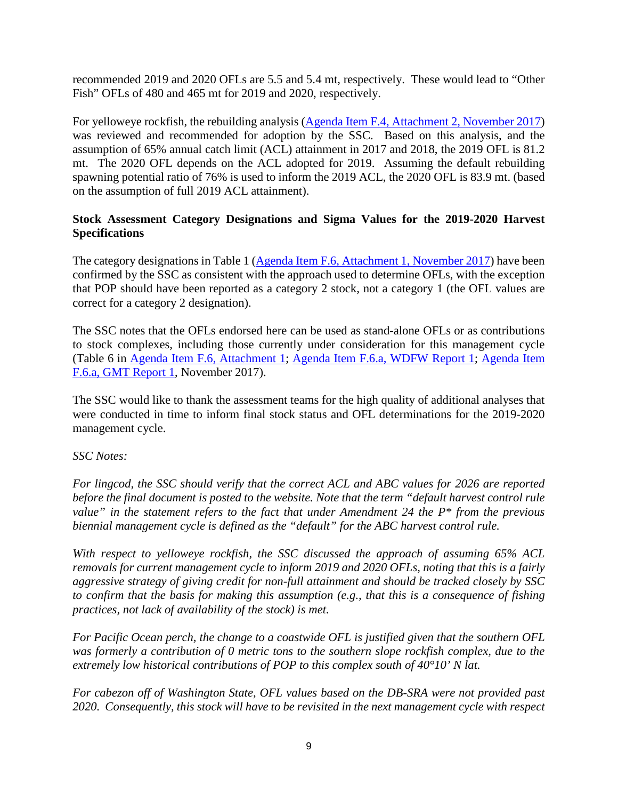recommended 2019 and 2020 OFLs are 5.5 and 5.4 mt, respectively. These would lead to "Other Fish" OFLs of 480 and 465 mt for 2019 and 2020, respectively.

For yelloweye rockfish, the rebuilding analysis [\(Agenda Item F.4, Attachment 2, November 2017\)](http://www.pcouncil.org/wp-content/uploads/2017/10/F4_Att2_2017_yelloweye_rebuilding_final_NOV2017BB.pdf) was reviewed and recommended for adoption by the SSC. Based on this analysis, and the assumption of 65% annual catch limit (ACL) attainment in 2017 and 2018, the 2019 OFL is 81.2 mt. The 2020 OFL depends on the ACL adopted for 2019. Assuming the default rebuilding spawning potential ratio of 76% is used to inform the 2019 ACL, the 2020 OFL is 83.9 mt. (based on the assumption of full 2019 ACL attainment).

## **Stock Assessment Category Designations and Sigma Values for the 2019-2020 Harvest Specifications**

The category designations in Table 1 [\(Agenda Item F.6, Attachment 1, November 2017\)](http://www.pcouncil.org/wp-content/uploads/2017/10/F6_Att1_2019-20HarvestSpex_NOV2017BB.pdf) have been confirmed by the SSC as consistent with the approach used to determine OFLs, with the exception that POP should have been reported as a category 2 stock, not a category 1 (the OFL values are correct for a category 2 designation).

The SSC notes that the OFLs endorsed here can be used as stand-alone OFLs or as contributions to stock complexes, including those currently under consideration for this management cycle (Table 6 in [Agenda Item F.6, Attachment 1;](http://www.pcouncil.org/wp-content/uploads/2017/10/F6_Att1_2019-20HarvestSpex_NOV2017BB.pdf) [Agenda Item F.6.a, WDFW Report 1;](http://www.pcouncil.org/wp-content/uploads/2017/10/F6a_WDFW_Rpt1_19-20HarvestSpecifications_NOV2017BB.pdf) [Agenda Item](http://www.pcouncil.org/wp-content/uploads/2017/10/F6a_GMT_Rpt1_NOV2017BB.pdf)  [F.6.a, GMT Report 1,](http://www.pcouncil.org/wp-content/uploads/2017/10/F6a_GMT_Rpt1_NOV2017BB.pdf) November 2017).

The SSC would like to thank the assessment teams for the high quality of additional analyses that were conducted in time to inform final stock status and OFL determinations for the 2019-2020 management cycle.

#### *SSC Notes:*

*For lingcod, the SSC should verify that the correct ACL and ABC values for 2026 are reported before the final document is posted to the website. Note that the term "default harvest control rule value" in the statement refers to the fact that under Amendment 24 the P\* from the previous biennial management cycle is defined as the "default" for the ABC harvest control rule.* 

*With respect to yelloweye rockfish, the SSC discussed the approach of assuming 65% ACL removals for current management cycle to inform 2019 and 2020 OFLs, noting that this is a fairly aggressive strategy of giving credit for non-full attainment and should be tracked closely by SSC to confirm that the basis for making this assumption (e.g., that this is a consequence of fishing practices, not lack of availability of the stock) is met.* 

*For Pacific Ocean perch, the change to a coastwide OFL is justified given that the southern OFL was formerly a contribution of 0 metric tons to the southern slope rockfish complex, due to the extremely low historical contributions of POP to this complex south of 40°10' N lat.* 

*For cabezon off of Washington State, OFL values based on the DB-SRA were not provided past 2020. Consequently, this stock will have to be revisited in the next management cycle with respect*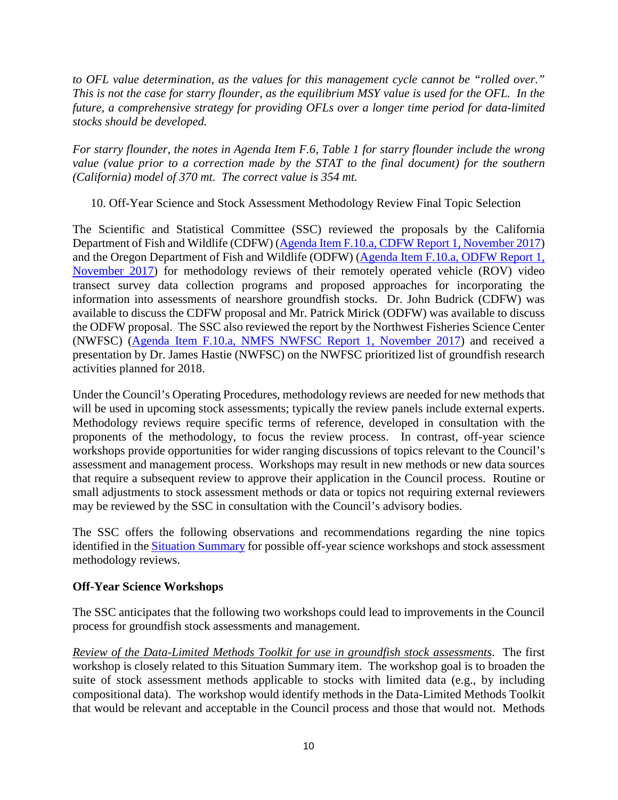*to OFL value determination, as the values for this management cycle cannot be "rolled over." This is not the case for starry flounder, as the equilibrium MSY value is used for the OFL. In the future, a comprehensive strategy for providing OFLs over a longer time period for data-limited stocks should be developed.* 

*For starry flounder, the notes in Agenda Item F.6, Table 1 for starry flounder include the wrong value (value prior to a correction made by the STAT to the final document) for the southern (California) model of 370 mt. The correct value is 354 mt.*

10. Off-Year Science and Stock Assessment Methodology Review Final Topic Selection

The Scientific and Statistical Committee (SSC) reviewed the proposals by the California Department of Fish and Wildlife (CDFW) [\(Agenda Item F.10.a, CDFW Report 1, November 2017\)](http://www.pcouncil.org/wp-content/uploads/2017/10/F10a_CDFW_Rpt1_ROV_Research_Proposal_Final_NOV2017BB.pdf) and the Oregon Department of Fish and Wildlife (ODFW) [\(Agenda Item F.10.a, ODFW Report 1,](http://www.pcouncil.org/wp-content/uploads/2017/10/F10a_ODFW_Rpt1_stock_assmt_method_review_NOV2017BB.pdf)  [November 2017\)](http://www.pcouncil.org/wp-content/uploads/2017/10/F10a_ODFW_Rpt1_stock_assmt_method_review_NOV2017BB.pdf) for methodology reviews of their remotely operated vehicle (ROV) video transect survey data collection programs and proposed approaches for incorporating the information into assessments of nearshore groundfish stocks. Dr. John Budrick (CDFW) was available to discuss the CDFW proposal and Mr. Patrick Mirick (ODFW) was available to discuss the ODFW proposal. The SSC also reviewed the report by the Northwest Fisheries Science Center (NWFSC) [\(Agenda Item F.10.a, NMFS NWFSC Report 1, November 2017\)](http://www.pcouncil.org/wp-content/uploads/2017/10/F10a_NMFS_NWFSC_Rpt1_Off-year_for_Council-final_NOV2017BB.pdf) and received a presentation by Dr. James Hastie (NWFSC) on the NWFSC prioritized list of groundfish research activities planned for 2018.

Under the Council's Operating Procedures, methodology reviews are needed for new methods that will be used in upcoming stock assessments; typically the review panels include external experts. Methodology reviews require specific terms of reference, developed in consultation with the proponents of the methodology, to focus the review process. In contrast, off-year science workshops provide opportunities for wider ranging discussions of topics relevant to the Council's assessment and management process. Workshops may result in new methods or new data sources that require a subsequent review to approve their application in the Council process. Routine or small adjustments to stock assessment methods or data or topics not requiring external reviewers may be reviewed by the SSC in consultation with the Council's advisory bodies.

The SSC offers the following observations and recommendations regarding the nine topics identified in the [Situation Summary](http://www.pcouncil.org/wp-content/uploads/2017/10/F10__SitSum_OffYrScienceMethodsReviews_NOV2017BB.pdf) for possible off-year science workshops and stock assessment methodology reviews.

# **Off-Year Science Workshops**

The SSC anticipates that the following two workshops could lead to improvements in the Council process for groundfish stock assessments and management.

*Review of the Data-Limited Methods Toolkit for use in groundfish stock assessments*. The first workshop is closely related to this Situation Summary item. The workshop goal is to broaden the suite of stock assessment methods applicable to stocks with limited data (e.g., by including compositional data). The workshop would identify methods in the Data-Limited Methods Toolkit that would be relevant and acceptable in the Council process and those that would not. Methods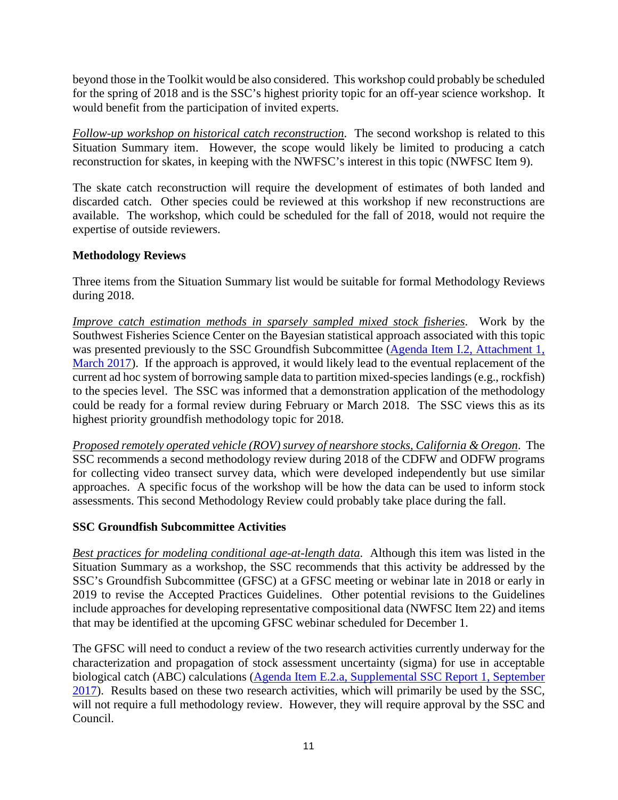beyond those in the Toolkit would be also considered. This workshop could probably be scheduled for the spring of 2018 and is the SSC's highest priority topic for an off-year science workshop. It would benefit from the participation of invited experts.

*Follow-up workshop on historical catch reconstruction*. The second workshop is related to this Situation Summary item. However, the scope would likely be limited to producing a catch reconstruction for skates, in keeping with the NWFSC's interest in this topic (NWFSC Item 9).

The skate catch reconstruction will require the development of estimates of both landed and discarded catch. Other species could be reviewed at this workshop if new reconstructions are available. The workshop, which could be scheduled for the fall of 2018, would not require the expertise of outside reviewers.

# **Methodology Reviews**

Three items from the Situation Summary list would be suitable for formal Methodology Reviews during 2018.

*Improve catch estimation methods in sparsely sampled mixed stock fisheries*. Work by the Southwest Fisheries Science Center on the Bayesian statistical approach associated with this topic was presented previously to the SSC Groundfish Subcommittee [\(Agenda Item I.2, Attachment 1,](http://www.pcouncil.org/wp-content/uploads/2017/02/I2_Att1_Catch_Reconstruction_Workshop_Report_Mar2017BB.pdf)  [March 2017\)](http://www.pcouncil.org/wp-content/uploads/2017/02/I2_Att1_Catch_Reconstruction_Workshop_Report_Mar2017BB.pdf). If the approach is approved, it would likely lead to the eventual replacement of the current ad hoc system of borrowing sample data to partition mixed-species landings (e.g., rockfish) to the species level. The SSC was informed that a demonstration application of the methodology could be ready for a formal review during February or March 2018. The SSC views this as its highest priority groundfish methodology topic for 2018.

*Proposed remotely operated vehicle (ROV) survey of nearshore stocks, California & Oregon*. The SSC recommends a second methodology review during 2018 of the CDFW and ODFW programs for collecting video transect survey data, which were developed independently but use similar approaches. A specific focus of the workshop will be how the data can be used to inform stock assessments. This second Methodology Review could probably take place during the fall.

# **SSC Groundfish Subcommittee Activities**

*Best practices for modeling conditional age-at-length data*. Although this item was listed in the Situation Summary as a workshop, the SSC recommends that this activity be addressed by the SSC's Groundfish Subcommittee (GFSC) at a GFSC meeting or webinar late in 2018 or early in 2019 to revise the Accepted Practices Guidelines. Other potential revisions to the Guidelines include approaches for developing representative compositional data (NWFSC Item 22) and items that may be identified at the upcoming GFSC webinar scheduled for December 1.

The GFSC will need to conduct a review of the two research activities currently underway for the characterization and propagation of stock assessment uncertainty (sigma) for use in acceptable biological catch (ABC) calculations [\(Agenda Item E.2.a, Supplemental SSC Report 1, September](http://www.pcouncil.org/wp-content/uploads/2017/09/E2a_Sup_SSC_Rpt1_SEPT2017BB.pdf)  [2017\)](http://www.pcouncil.org/wp-content/uploads/2017/09/E2a_Sup_SSC_Rpt1_SEPT2017BB.pdf). Results based on these two research activities, which will primarily be used by the SSC, will not require a full methodology review. However, they will require approval by the SSC and Council.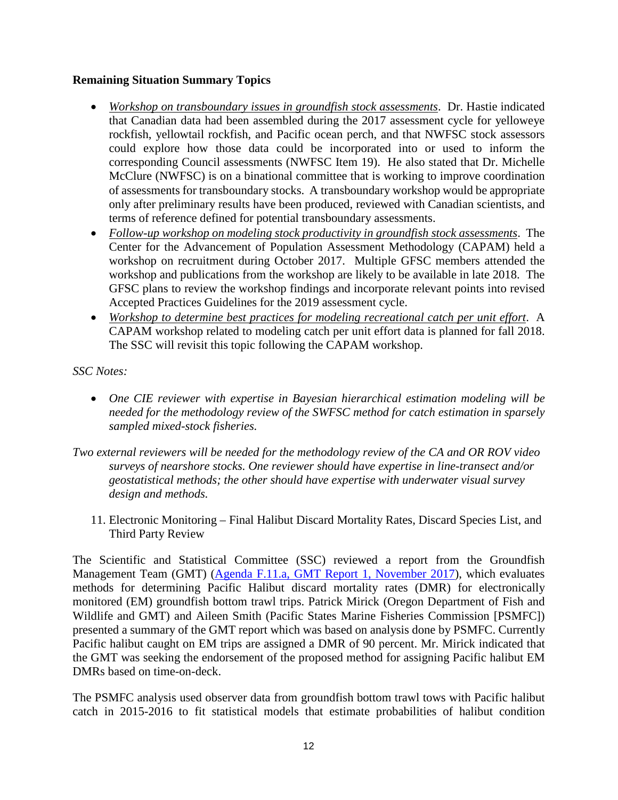## **Remaining Situation Summary Topics**

- *Workshop on transboundary issues in groundfish stock assessments*. Dr. Hastie indicated that Canadian data had been assembled during the 2017 assessment cycle for yelloweye rockfish, yellowtail rockfish, and Pacific ocean perch, and that NWFSC stock assessors could explore how those data could be incorporated into or used to inform the corresponding Council assessments (NWFSC Item 19). He also stated that Dr. Michelle McClure (NWFSC) is on a binational committee that is working to improve coordination of assessments for transboundary stocks. A transboundary workshop would be appropriate only after preliminary results have been produced, reviewed with Canadian scientists, and terms of reference defined for potential transboundary assessments.
- *Follow-up workshop on modeling stock productivity in groundfish stock assessments*. The Center for the Advancement of Population Assessment Methodology (CAPAM) held a workshop on recruitment during October 2017. Multiple GFSC members attended the workshop and publications from the workshop are likely to be available in late 2018. The GFSC plans to review the workshop findings and incorporate relevant points into revised Accepted Practices Guidelines for the 2019 assessment cycle.
- *Workshop to determine best practices for modeling recreational catch per unit effort*. A CAPAM workshop related to modeling catch per unit effort data is planned for fall 2018. The SSC will revisit this topic following the CAPAM workshop.

*SSC Notes:*

- *One CIE reviewer with expertise in Bayesian hierarchical estimation modeling will be needed for the methodology review of the SWFSC method for catch estimation in sparsely sampled mixed-stock fisheries.*
- *Two external reviewers will be needed for the methodology review of the CA and OR ROV video surveys of nearshore stocks. One reviewer should have expertise in line-transect and/or geostatistical methods; the other should have expertise with underwater visual survey design and methods.*
	- 11. Electronic Monitoring Final Halibut Discard Mortality Rates, Discard Species List, and Third Party Review

The Scientific and Statistical Committee (SSC) reviewed a report from the Groundfish Management Team (GMT) [\(Agenda F.11.a, GMT Report 1, November 2017\)](http://www.pcouncil.org/wp-content/uploads/2017/10/F11a_GMT_Rpt1_NOV2017BB.pdf), which evaluates methods for determining Pacific Halibut discard mortality rates (DMR) for electronically monitored (EM) groundfish bottom trawl trips. Patrick Mirick (Oregon Department of Fish and Wildlife and GMT) and Aileen Smith (Pacific States Marine Fisheries Commission [PSMFC]) presented a summary of the GMT report which was based on analysis done by PSMFC. Currently Pacific halibut caught on EM trips are assigned a DMR of 90 percent. Mr. Mirick indicated that the GMT was seeking the endorsement of the proposed method for assigning Pacific halibut EM DMRs based on time-on-deck.

The PSMFC analysis used observer data from groundfish bottom trawl tows with Pacific halibut catch in 2015-2016 to fit statistical models that estimate probabilities of halibut condition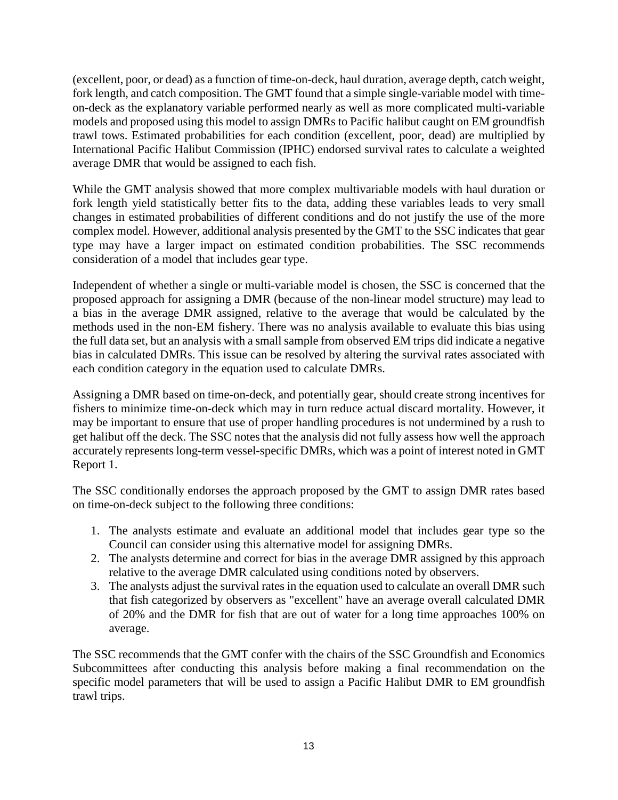(excellent, poor, or dead) as a function of time-on-deck, haul duration, average depth, catch weight, fork length, and catch composition. The GMT found that a simple single-variable model with timeon-deck as the explanatory variable performed nearly as well as more complicated multi-variable models and proposed using this model to assign DMRs to Pacific halibut caught on EM groundfish trawl tows. Estimated probabilities for each condition (excellent, poor, dead) are multiplied by International Pacific Halibut Commission (IPHC) endorsed survival rates to calculate a weighted average DMR that would be assigned to each fish.

While the GMT analysis showed that more complex multivariable models with haul duration or fork length yield statistically better fits to the data, adding these variables leads to very small changes in estimated probabilities of different conditions and do not justify the use of the more complex model. However, additional analysis presented by the GMT to the SSC indicates that gear type may have a larger impact on estimated condition probabilities. The SSC recommends consideration of a model that includes gear type.

Independent of whether a single or multi-variable model is chosen, the SSC is concerned that the proposed approach for assigning a DMR (because of the non-linear model structure) may lead to a bias in the average DMR assigned, relative to the average that would be calculated by the methods used in the non-EM fishery. There was no analysis available to evaluate this bias using the full data set, but an analysis with a small sample from observed EM trips did indicate a negative bias in calculated DMRs. This issue can be resolved by altering the survival rates associated with each condition category in the equation used to calculate DMRs.

Assigning a DMR based on time-on-deck, and potentially gear, should create strong incentives for fishers to minimize time-on-deck which may in turn reduce actual discard mortality. However, it may be important to ensure that use of proper handling procedures is not undermined by a rush to get halibut off the deck. The SSC notes that the analysis did not fully assess how well the approach accurately represents long-term vessel-specific DMRs, which was a point of interest noted in GMT Report 1.

The SSC conditionally endorses the approach proposed by the GMT to assign DMR rates based on time-on-deck subject to the following three conditions:

- 1. The analysts estimate and evaluate an additional model that includes gear type so the Council can consider using this alternative model for assigning DMRs.
- 2. The analysts determine and correct for bias in the average DMR assigned by this approach relative to the average DMR calculated using conditions noted by observers.
- 3. The analysts adjust the survival rates in the equation used to calculate an overall DMR such that fish categorized by observers as "excellent" have an average overall calculated DMR of 20% and the DMR for fish that are out of water for a long time approaches 100% on average.

The SSC recommends that the GMT confer with the chairs of the SSC Groundfish and Economics Subcommittees after conducting this analysis before making a final recommendation on the specific model parameters that will be used to assign a Pacific Halibut DMR to EM groundfish trawl trips.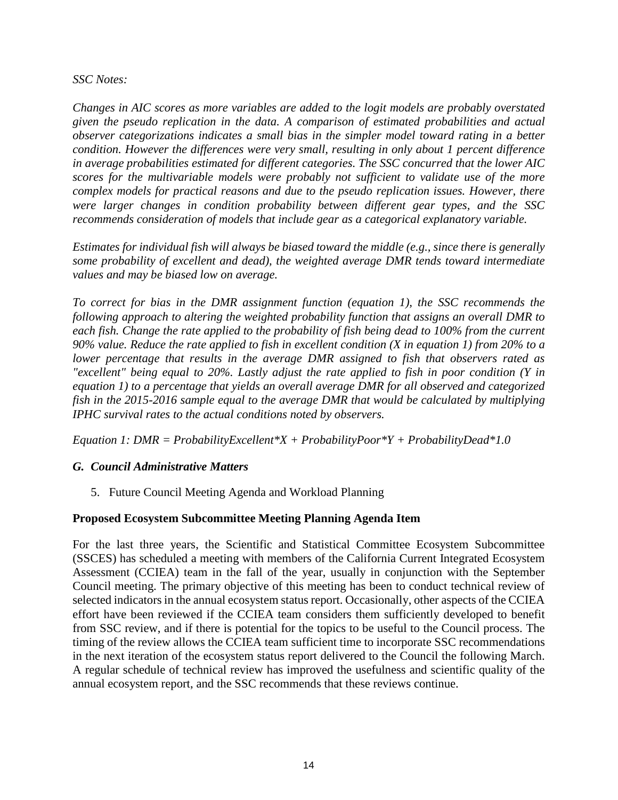#### *SSC Notes:*

*Changes in AIC scores as more variables are added to the logit models are probably overstated given the pseudo replication in the data. A comparison of estimated probabilities and actual observer categorizations indicates a small bias in the simpler model toward rating in a better condition. However the differences were very small, resulting in only about 1 percent difference in average probabilities estimated for different categories. The SSC concurred that the lower AIC scores for the multivariable models were probably not sufficient to validate use of the more complex models for practical reasons and due to the pseudo replication issues. However, there were larger changes in condition probability between different gear types, and the SSC recommends consideration of models that include gear as a categorical explanatory variable.*

*Estimates for individual fish will always be biased toward the middle (e.g., since there is generally some probability of excellent and dead), the weighted average DMR tends toward intermediate values and may be biased low on average.*

*To correct for bias in the DMR assignment function (equation 1), the SSC recommends the following approach to altering the weighted probability function that assigns an overall DMR to each fish. Change the rate applied to the probability of fish being dead to 100% from the current 90% value. Reduce the rate applied to fish in excellent condition (X in equation 1) from 20% to a lower percentage that results in the average DMR assigned to fish that observers rated as "excellent" being equal to 20%. Lastly adjust the rate applied to fish in poor condition (Y in equation 1) to a percentage that yields an overall average DMR for all observed and categorized fish in the 2015-2016 sample equal to the average DMR that would be calculated by multiplying IPHC survival rates to the actual conditions noted by observers.*

*Equation 1: DMR = ProbabilityExcellent\*X + ProbabilityPoor\*Y + ProbabilityDead\*1.0*

# *G. Council Administrative Matters*

5. Future Council Meeting Agenda and Workload Planning

# **Proposed Ecosystem Subcommittee Meeting Planning Agenda Item**

For the last three years, the Scientific and Statistical Committee Ecosystem Subcommittee (SSCES) has scheduled a meeting with members of the California Current Integrated Ecosystem Assessment (CCIEA) team in the fall of the year, usually in conjunction with the September Council meeting. The primary objective of this meeting has been to conduct technical review of selected indicators in the annual ecosystem status report. Occasionally, other aspects of the CCIEA effort have been reviewed if the CCIEA team considers them sufficiently developed to benefit from SSC review, and if there is potential for the topics to be useful to the Council process. The timing of the review allows the CCIEA team sufficient time to incorporate SSC recommendations in the next iteration of the ecosystem status report delivered to the Council the following March. A regular schedule of technical review has improved the usefulness and scientific quality of the annual ecosystem report, and the SSC recommends that these reviews continue.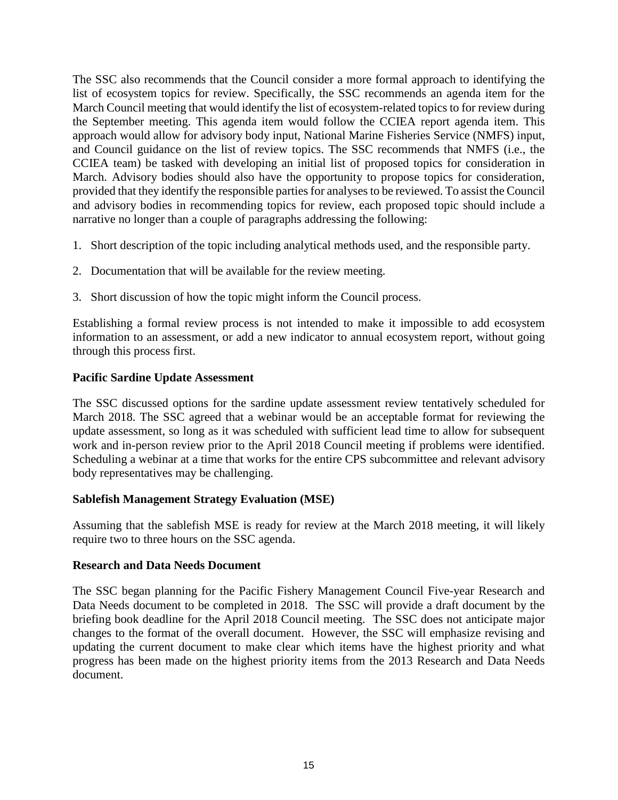The SSC also recommends that the Council consider a more formal approach to identifying the list of ecosystem topics for review. Specifically, the SSC recommends an agenda item for the March Council meeting that would identify the list of ecosystem-related topics to for review during the September meeting. This agenda item would follow the CCIEA report agenda item. This approach would allow for advisory body input, National Marine Fisheries Service (NMFS) input, and Council guidance on the list of review topics. The SSC recommends that NMFS (i.e., the CCIEA team) be tasked with developing an initial list of proposed topics for consideration in March. Advisory bodies should also have the opportunity to propose topics for consideration, provided that they identify the responsible parties for analyses to be reviewed. To assist the Council and advisory bodies in recommending topics for review, each proposed topic should include a narrative no longer than a couple of paragraphs addressing the following:

- 1. Short description of the topic including analytical methods used, and the responsible party.
- 2. Documentation that will be available for the review meeting.
- 3. Short discussion of how the topic might inform the Council process.

Establishing a formal review process is not intended to make it impossible to add ecosystem information to an assessment, or add a new indicator to annual ecosystem report, without going through this process first.

#### **Pacific Sardine Update Assessment**

The SSC discussed options for the sardine update assessment review tentatively scheduled for March 2018. The SSC agreed that a webinar would be an acceptable format for reviewing the update assessment, so long as it was scheduled with sufficient lead time to allow for subsequent work and in-person review prior to the April 2018 Council meeting if problems were identified. Scheduling a webinar at a time that works for the entire CPS subcommittee and relevant advisory body representatives may be challenging.

#### **Sablefish Management Strategy Evaluation (MSE)**

Assuming that the sablefish MSE is ready for review at the March 2018 meeting, it will likely require two to three hours on the SSC agenda.

#### **Research and Data Needs Document**

The SSC began planning for the Pacific Fishery Management Council Five-year Research and Data Needs document to be completed in 2018. The SSC will provide a draft document by the briefing book deadline for the April 2018 Council meeting. The SSC does not anticipate major changes to the format of the overall document. However, the SSC will emphasize revising and updating the current document to make clear which items have the highest priority and what progress has been made on the highest priority items from the 2013 Research and Data Needs document.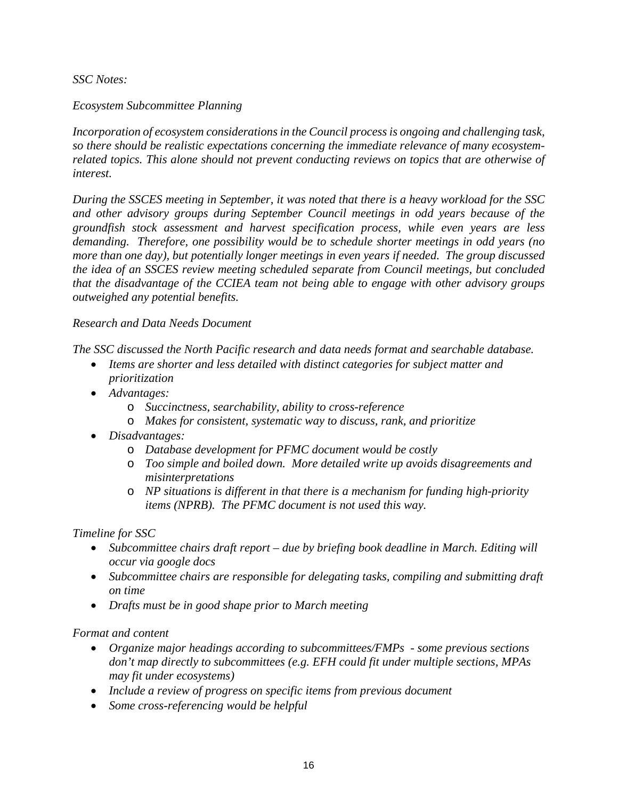*SSC Notes:*

## *Ecosystem Subcommittee Planning*

*Incorporation of ecosystem considerations in the Council process is ongoing and challenging task, so there should be realistic expectations concerning the immediate relevance of many ecosystemrelated topics. This alone should not prevent conducting reviews on topics that are otherwise of interest.* 

*During the SSCES meeting in September, it was noted that there is a heavy workload for the SSC and other advisory groups during September Council meetings in odd years because of the groundfish stock assessment and harvest specification process, while even years are less demanding. Therefore, one possibility would be to schedule shorter meetings in odd years (no more than one day), but potentially longer meetings in even years if needed. The group discussed the idea of an SSCES review meeting scheduled separate from Council meetings, but concluded that the disadvantage of the CCIEA team not being able to engage with other advisory groups outweighed any potential benefits.*

## *Research and Data Needs Document*

*The SSC discussed the North Pacific research and data needs format and searchable database.* 

- *Items are shorter and less detailed with distinct categories for subject matter and prioritization*
- *Advantages:* 
	- o *Succinctness, searchability, ability to cross-reference*
	- o *Makes for consistent, systematic way to discuss, rank, and prioritize*
- *Disadvantages:*
	- o *Database development for PFMC document would be costly*
	- o *Too simple and boiled down. More detailed write up avoids disagreements and misinterpretations*
	- o *NP situations is different in that there is a mechanism for funding high-priority items (NPRB). The PFMC document is not used this way.*

#### *Timeline for SSC*

- *Subcommittee chairs draft report – due by briefing book deadline in March. Editing will occur via google docs*
- *Subcommittee chairs are responsible for delegating tasks, compiling and submitting draft on time*
- *Drafts must be in good shape prior to March meeting*

# *Format and content*

- *Organize major headings according to subcommittees/FMPs - some previous sections don't map directly to subcommittees (e.g. EFH could fit under multiple sections, MPAs may fit under ecosystems)*
- *Include a review of progress on specific items from previous document*
- *Some cross-referencing would be helpful*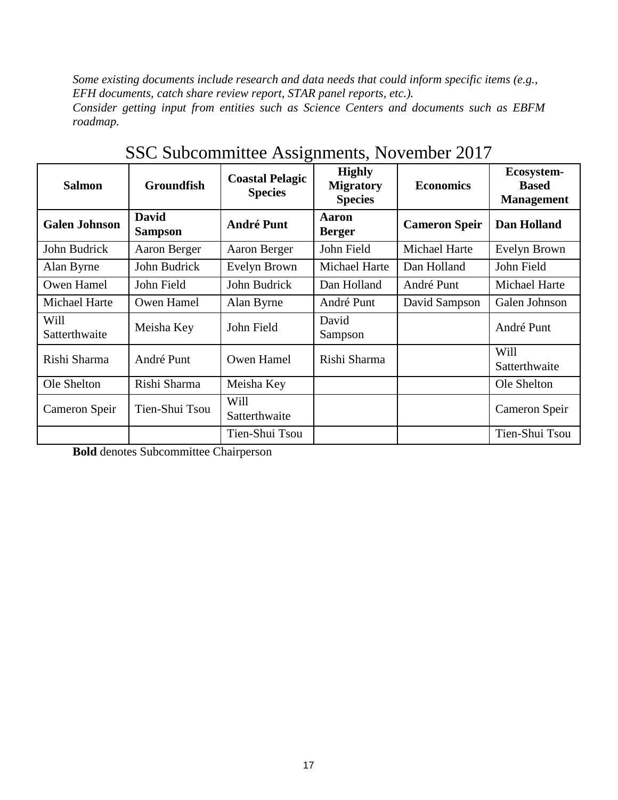*Some existing documents include research and data needs that could inform specific items (e.g., EFH documents, catch share review report, STAR panel reports, etc.). Consider getting input from entities such as Science Centers and documents such as EBFM roadmap.*

| <b>Salmon</b>         | <b>Groundfish</b>              | <b>Coastal Pelagic</b><br><b>Species</b> | <b>Highly</b><br><b>Migratory</b><br><b>Species</b> | <b>Economics</b>     | Ecosystem-<br><b>Based</b><br><b>Management</b> |
|-----------------------|--------------------------------|------------------------------------------|-----------------------------------------------------|----------------------|-------------------------------------------------|
| <b>Galen Johnson</b>  | <b>David</b><br><b>Sampson</b> | <b>André Punt</b>                        | <b>Aaron</b><br><b>Berger</b>                       | <b>Cameron Speir</b> | Dan Holland                                     |
| John Budrick          | Aaron Berger                   | Aaron Berger                             | John Field                                          | <b>Michael Harte</b> | Evelyn Brown                                    |
| Alan Byrne            | John Budrick                   | Evelyn Brown                             | Michael Harte                                       | Dan Holland          | John Field                                      |
| Owen Hamel            | John Field                     | John Budrick                             | Dan Holland                                         | André Punt           | Michael Harte                                   |
| Michael Harte         | Owen Hamel                     | Alan Byrne                               | André Punt                                          | David Sampson        | Galen Johnson                                   |
| Will<br>Satterthwaite | Meisha Key                     | John Field                               | David<br>Sampson                                    |                      | André Punt                                      |
| Rishi Sharma          | André Punt                     | Owen Hamel                               | Rishi Sharma                                        |                      | Will<br>Satterthwaite                           |
| Ole Shelton           | Rishi Sharma                   | Meisha Key                               |                                                     |                      | Ole Shelton                                     |
| Cameron Speir         | Tien-Shui Tsou                 | Will<br>Satterthwaite                    |                                                     |                      | Cameron Speir                                   |
|                       |                                | Tien-Shui Tsou                           |                                                     |                      | Tien-Shui Tsou                                  |

SSC Subcommittee Assignments, November 2017

**Bold** denotes Subcommittee Chairperson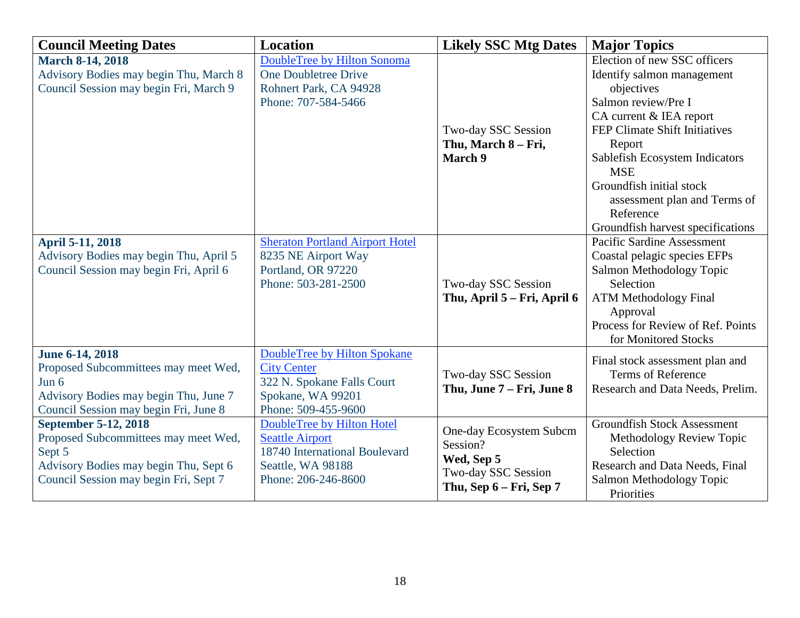| <b>Council Meeting Dates</b>                                                                                                                                    | <b>Location</b>                                                                                                                   | <b>Likely SSC Mtg Dates</b>                                                                         | <b>Major Topics</b>                                                                                                                                                                                                                                                                                                                 |
|-----------------------------------------------------------------------------------------------------------------------------------------------------------------|-----------------------------------------------------------------------------------------------------------------------------------|-----------------------------------------------------------------------------------------------------|-------------------------------------------------------------------------------------------------------------------------------------------------------------------------------------------------------------------------------------------------------------------------------------------------------------------------------------|
| <b>March 8-14, 2018</b><br>Advisory Bodies may begin Thu, March 8<br>Council Session may begin Fri, March 9                                                     | DoubleTree by Hilton Sonoma<br><b>One Doubletree Drive</b><br>Rohnert Park, CA 94928<br>Phone: 707-584-5466                       | Two-day SSC Session<br>Thu, March 8 – Fri,<br><b>March 9</b>                                        | Election of new SSC officers<br>Identify salmon management<br>objectives<br>Salmon review/Pre I<br>CA current & IEA report<br>FEP Climate Shift Initiatives<br>Report<br>Sablefish Ecosystem Indicators<br><b>MSE</b><br>Groundfish initial stock<br>assessment plan and Terms of<br>Reference<br>Groundfish harvest specifications |
| <b>April 5-11, 2018</b><br>Advisory Bodies may begin Thu, April 5<br>Council Session may begin Fri, April 6                                                     | <b>Sheraton Portland Airport Hotel</b><br>8235 NE Airport Way<br>Portland, OR 97220<br>Phone: 503-281-2500                        | Two-day SSC Session<br>Thu, April 5 – Fri, April 6                                                  | Pacific Sardine Assessment<br>Coastal pelagic species EFPs<br>Salmon Methodology Topic<br>Selection<br><b>ATM Methodology Final</b><br>Approval<br>Process for Review of Ref. Points<br>for Monitored Stocks                                                                                                                        |
| <b>June 6-14, 2018</b><br>Proposed Subcommittees may meet Wed,<br>Jun $6$<br>Advisory Bodies may begin Thu, June 7<br>Council Session may begin Fri, June 8     | DoubleTree by Hilton Spokane<br><b>City Center</b><br>322 N. Spokane Falls Court<br>Spokane, WA 99201<br>Phone: 509-455-9600      | Two-day SSC Session<br>Thu, June 7 – Fri, June 8                                                    | Final stock assessment plan and<br><b>Terms of Reference</b><br>Research and Data Needs, Prelim.                                                                                                                                                                                                                                    |
| <b>September 5-12, 2018</b><br>Proposed Subcommittees may meet Wed,<br>Sept 5<br>Advisory Bodies may begin Thu, Sept 6<br>Council Session may begin Fri, Sept 7 | DoubleTree by Hilton Hotel<br><b>Seattle Airport</b><br>18740 International Boulevard<br>Seattle, WA 98188<br>Phone: 206-246-8600 | One-day Ecosystem Subcm<br>Session?<br>Wed, Sep 5<br>Two-day SSC Session<br>Thu, Sep 6 – Fri, Sep 7 | <b>Groundfish Stock Assessment</b><br>Methodology Review Topic<br>Selection<br>Research and Data Needs, Final<br>Salmon Methodology Topic<br>Priorities                                                                                                                                                                             |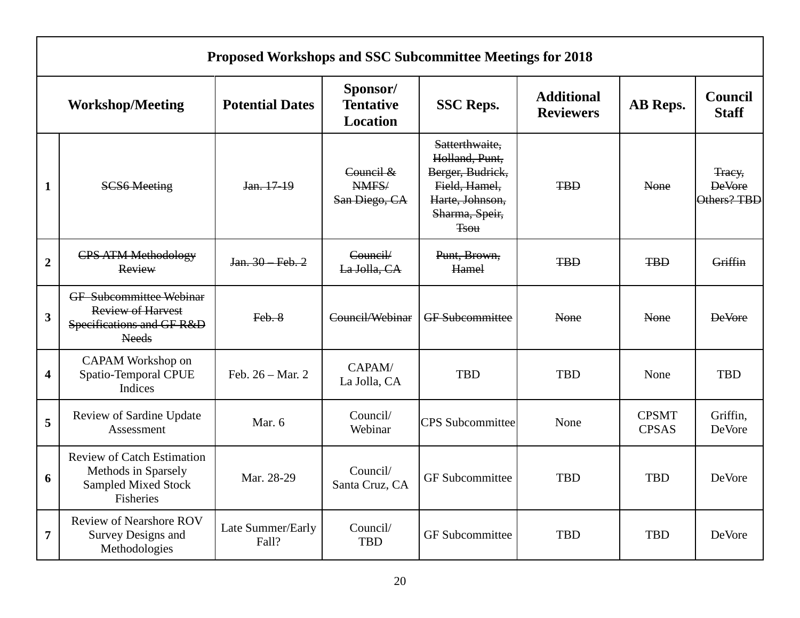|                         | <b>Proposed Workshops and SSC Subcommittee Meetings for 2018</b>                                        |                            |                                                 |                                                                                                                           |                                       |                              |                                        |  |
|-------------------------|---------------------------------------------------------------------------------------------------------|----------------------------|-------------------------------------------------|---------------------------------------------------------------------------------------------------------------------------|---------------------------------------|------------------------------|----------------------------------------|--|
|                         | <b>Workshop/Meeting</b>                                                                                 | <b>Potential Dates</b>     | Sponsor/<br><b>Tentative</b><br><b>Location</b> | <b>SSC Reps.</b>                                                                                                          | <b>Additional</b><br><b>Reviewers</b> | AB Reps.                     | <b>Council</b><br><b>Staff</b>         |  |
| $\mathbf{1}$            | <b>SCS6 Meeting</b>                                                                                     | Jan. 17-19                 | Council &<br>NMFS/<br>San Diego, CA             | Satterthwaite,<br>Holland, Punt,<br>Berger, Budrick,<br>Field, Hamel,<br>Harte, Johnson,<br>Sharma, Speir,<br><b>Tsou</b> | <b>TBD</b>                            | None                         | Tracy,<br><b>DeVore</b><br>Others? TBD |  |
| $\overline{2}$          | <b>CPS ATM Methodology</b><br>Review                                                                    | Jan. 30 Feb. 2             | Council/<br>La Jolla, CA                        | Punt, Brown,<br>Hamel                                                                                                     | <b>TBD</b>                            | <b>TBD</b>                   | Griffin                                |  |
| $\mathbf{3}$            | <b>GF</b> Subcommittee Webinar<br><b>Review of Harvest</b><br>Specifications and GF R&D<br><b>Needs</b> | Feb. 8                     | Council/Webinar                                 | <b>GF</b> Subcommittee                                                                                                    | None                                  | None                         | <b>DeVore</b>                          |  |
| $\overline{\mathbf{4}}$ | CAPAM Workshop on<br>Spatio-Temporal CPUE<br>Indices                                                    | Feb. 26 - Mar. 2           | CAPAM/<br>La Jolla, CA                          | <b>TBD</b>                                                                                                                | <b>TBD</b>                            | None                         | <b>TBD</b>                             |  |
| 5                       | Review of Sardine Update<br>Assessment                                                                  | Mar. 6                     | Council/<br>Webinar                             | <b>CPS</b> Subcommittee                                                                                                   | None                                  | <b>CPSMT</b><br><b>CPSAS</b> | Griffin,<br><b>DeVore</b>              |  |
| 6                       | <b>Review of Catch Estimation</b><br>Methods in Sparsely<br><b>Sampled Mixed Stock</b><br>Fisheries     | Mar. 28-29                 | Council/<br>Santa Cruz, CA                      | <b>GF</b> Subcommittee                                                                                                    | <b>TBD</b>                            | <b>TBD</b>                   | DeVore                                 |  |
| $\overline{7}$          | <b>Review of Nearshore ROV</b><br><b>Survey Designs and</b><br>Methodologies                            | Late Summer/Early<br>Fall? | Council/<br><b>TBD</b>                          | <b>GF</b> Subcommittee                                                                                                    | <b>TBD</b>                            | <b>TBD</b>                   | DeVore                                 |  |